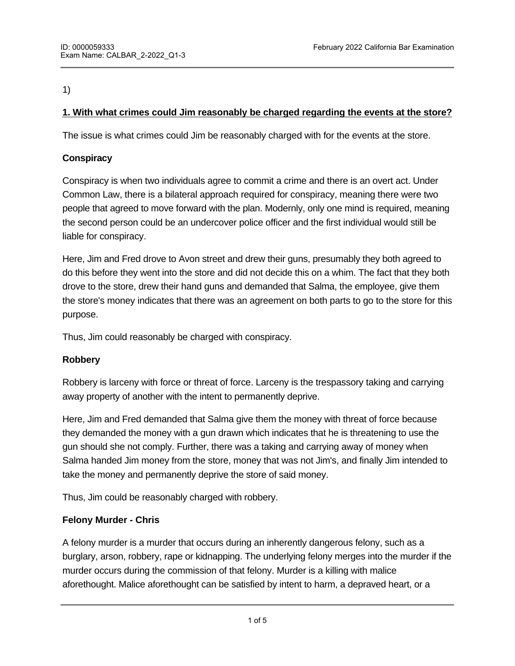1)

# **1. With what crimes could Jim reasonably be charged regarding the events at the store?**

The issue is what crimes could Jim be reasonably charged with for the events at the store.

# **Conspiracy**

Conspiracy is when two individuals agree to commit a crime and there is an overt act. Under Common Law, there is a bilateral approach required for conspiracy, meaning there were two people that agreed to move forward with the plan. Modernly, only one mind is required, meaning the second person could be an undercover police officer and the first individual would still be liable for conspiracy.

Here, Jim and Fred drove to Avon street and drew their guns, presumably they both agreed to do this before they went into the store and did not decide this on a whim. The fact that they both drove to the store, drew their hand guns and demanded that Salma, the employee, give them the store's money indicates that there was an agreement on both parts to go to the store for this purpose.

Thus, Jim could reasonably be charged with conspiracy.

# **Robbery**

Robbery is larceny with force or threat of force. Larceny is the trespassory taking and carrying away property of another with the intent to permanently deprive.

Here, Jim and Fred demanded that Salma give them the money with threat of force because they demanded the money with a gun drawn which indicates that he is threatening to use the gun should she not comply. Further, there was a taking and carrying away of money when Salma handed Jim money from the store, money that was not Jim's, and finally Jim intended to take the money and permanently deprive the store of said money.

Thus, Jim could be reasonably charged with robbery.

# **Felony Murder - Chris**

A felony murder is a murder that occurs during an inherently dangerous felony, such as a burglary, arson, robbery, rape or kidnapping. The underlying felony merges into the murder if the murder occurs during the commission of that felony. Murder is a killing with malice aforethought. Malice aforethought can be satisfied by intent to harm, a depraved heart, or a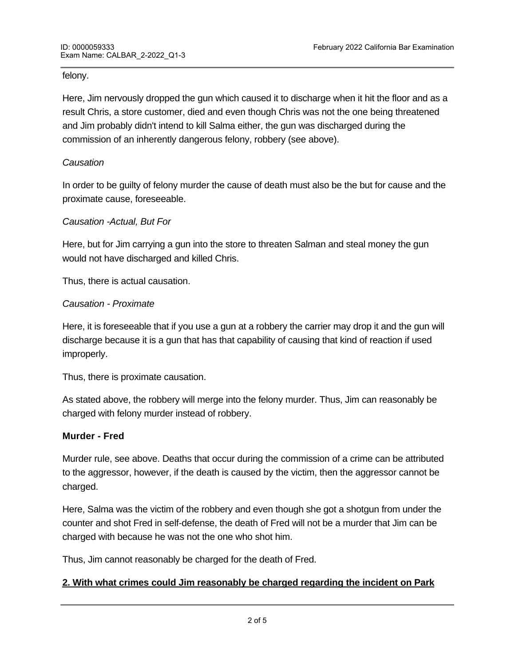#### felony.

Here, Jim nervously dropped the gun which caused it to discharge when it hit the floor and as a result Chris, a store customer, died and even though Chris was not the one being threatened and Jim probably didn't intend to kill Salma either, the gun was discharged during the commission of an inherently dangerous felony, robbery (see above).

## *Causation*

In order to be guilty of felony murder the cause of death must also be the but for cause and the proximate cause, foreseeable.

## *Causation -Actual, But For*

Here, but for Jim carrying a gun into the store to threaten Salman and steal money the gun would not have discharged and killed Chris.

Thus, there is actual causation.

## *Causation - Proximate*

Here, it is foreseeable that if you use a gun at a robbery the carrier may drop it and the gun will discharge because it is a gun that has that capability of causing that kind of reaction if used improperly.

Thus, there is proximate causation.

As stated above, the robbery will merge into the felony murder. Thus, Jim can reasonably be charged with felony murder instead of robbery.

## **Murder - Fred**

Murder rule, see above. Deaths that occur during the commission of a crime can be attributed to the aggressor, however, if the death is caused by the victim, then the aggressor cannot be charged.

Here, Salma was the victim of the robbery and even though she got a shotgun from under the counter and shot Fred in self-defense, the death of Fred will not be a murder that Jim can be charged with because he was not the one who shot him.

Thus, Jim cannot reasonably be charged for the death of Fred.

## **2. With what crimes could Jim reasonably be charged regarding the incident on Park**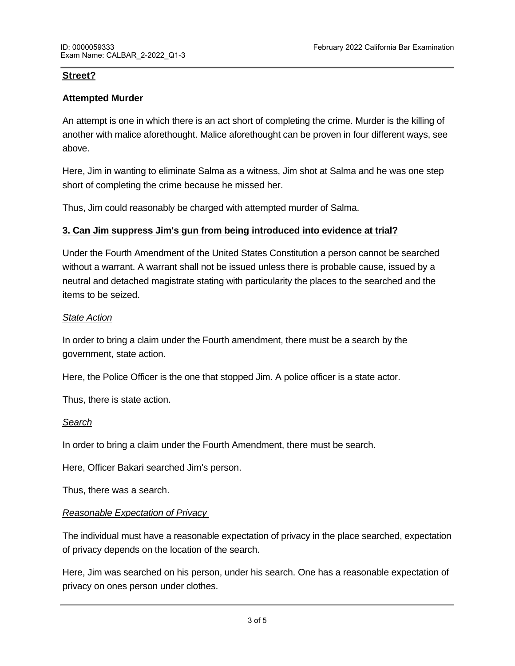## **Street?**

## **Attempted Murder**

An attempt is one in which there is an act short of completing the crime. Murder is the killing of another with malice aforethought. Malice aforethought can be proven in four different ways, see above.

Here, Jim in wanting to eliminate Salma as a witness, Jim shot at Salma and he was one step short of completing the crime because he missed her.

Thus, Jim could reasonably be charged with attempted murder of Salma.

## **3. Can Jim suppress Jim's gun from being introduced into evidence at trial?**

Under the Fourth Amendment of the United States Constitution a person cannot be searched without a warrant. A warrant shall not be issued unless there is probable cause, issued by a neutral and detached magistrate stating with particularity the places to the searched and the items to be seized.

#### *State Action*

In order to bring a claim under the Fourth amendment, there must be a search by the government, state action.

Here, the Police Officer is the one that stopped Jim. A police officer is a state actor.

Thus, there is state action.

## *Search*

In order to bring a claim under the Fourth Amendment, there must be search.

Here, Officer Bakari searched Jim's person.

Thus, there was a search.

## *Reasonable Expectation of Privacy*

The individual must have a reasonable expectation of privacy in the place searched, expectation of privacy depends on the location of the search.

Here, Jim was searched on his person, under his search. One has a reasonable expectation of privacy on ones person under clothes.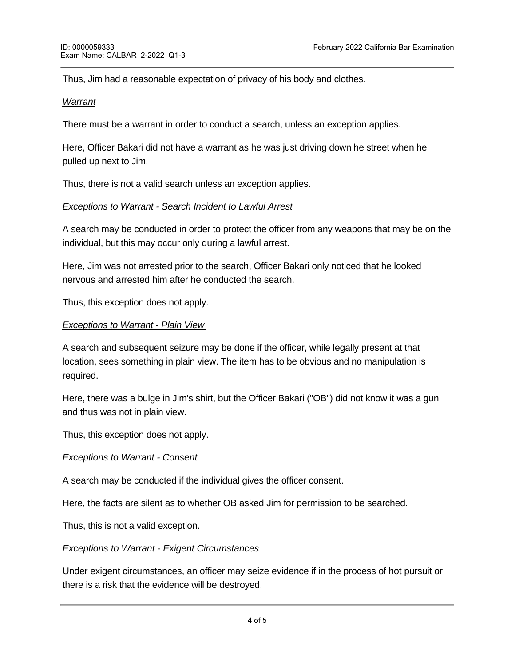Thus, Jim had a reasonable expectation of privacy of his body and clothes.

#### *Warrant*

There must be a warrant in order to conduct a search, unless an exception applies.

Here, Officer Bakari did not have a warrant as he was just driving down he street when he pulled up next to Jim.

Thus, there is not a valid search unless an exception applies.

#### *Exceptions to Warrant - Search Incident to Lawful Arrest*

A search may be conducted in order to protect the officer from any weapons that may be on the individual, but this may occur only during a lawful arrest.

Here, Jim was not arrested prior to the search, Officer Bakari only noticed that he looked nervous and arrested him after he conducted the search.

Thus, this exception does not apply.

#### *Exceptions to Warrant - Plain View*

A search and subsequent seizure may be done if the officer, while legally present at that location, sees something in plain view. The item has to be obvious and no manipulation is required.

Here, there was a bulge in Jim's shirt, but the Officer Bakari ("OB") did not know it was a gun and thus was not in plain view.

Thus, this exception does not apply.

#### *Exceptions to Warrant - Consent*

A search may be conducted if the individual gives the officer consent.

Here, the facts are silent as to whether OB asked Jim for permission to be searched.

Here,  $\alpha$  was neither in hot pursuit of  $J$  and neither was there are an obvious threat of  $J$  in  $\alpha$ 

Thus, this is not a valid exception.

#### *Exceptions to Warrant - Exigent Circumstances*

Under exigent circumstances, an officer may seize evidence if in the process of hot pursuit or there is a risk that the evidence will be destroyed.